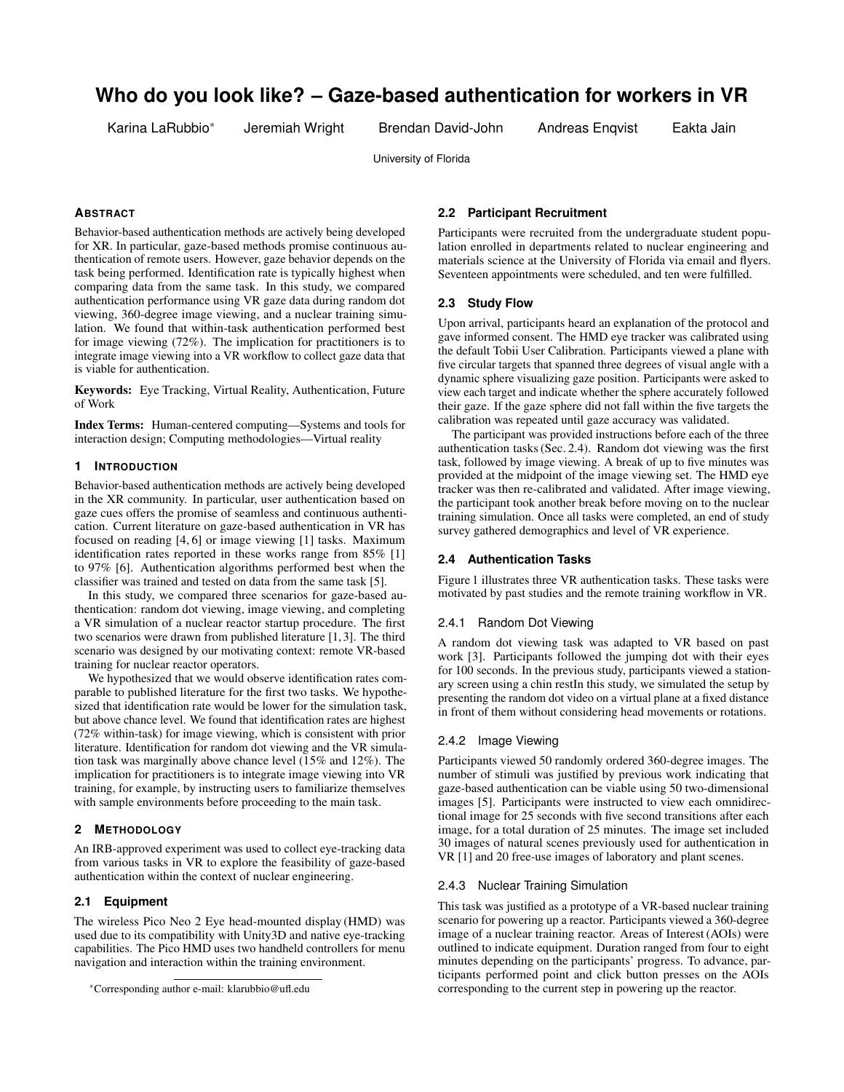# **Who do you look like? – Gaze-based authentication for workers in VR**

Karina LaRubbio\* Jeremiah Wright Brendan David-John Andreas Enqvist Eakta Jain

University of Florida

# **ABSTRACT**

Behavior-based authentication methods are actively being developed for XR. In particular, gaze-based methods promise continuous authentication of remote users. However, gaze behavior depends on the task being performed. Identification rate is typically highest when comparing data from the same task. In this study, we compared authentication performance using VR gaze data during random dot viewing, 360-degree image viewing, and a nuclear training simulation. We found that within-task authentication performed best for image viewing (72%). The implication for practitioners is to integrate image viewing into a VR workflow to collect gaze data that is viable for authentication.

Keywords: Eye Tracking, Virtual Reality, Authentication, Future of Work

Index Terms: Human-centered computing—Systems and tools for interaction design; Computing methodologies—Virtual reality

## **1 INTRODUCTION**

Behavior-based authentication methods are actively being developed in the XR community. In particular, user authentication based on gaze cues offers the promise of seamless and continuous authentication. Current literature on gaze-based authentication in VR has focused on reading [4, 6] or image viewing [1] tasks. Maximum identification rates reported in these works range from 85% [1] to 97% [6]. Authentication algorithms performed best when the classifier was trained and tested on data from the same task [5].

In this study, we compared three scenarios for gaze-based authentication: random dot viewing, image viewing, and completing a VR simulation of a nuclear reactor startup procedure. The first two scenarios were drawn from published literature [1, 3]. The third scenario was designed by our motivating context: remote VR-based training for nuclear reactor operators.

We hypothesized that we would observe identification rates comparable to published literature for the first two tasks. We hypothesized that identification rate would be lower for the simulation task, but above chance level. We found that identification rates are highest (72% within-task) for image viewing, which is consistent with prior literature. Identification for random dot viewing and the VR simulation task was marginally above chance level (15% and 12%). The implication for practitioners is to integrate image viewing into VR training, for example, by instructing users to familiarize themselves with sample environments before proceeding to the main task.

## **2 METHODOLOGY**

An IRB-approved experiment was used to collect eye-tracking data from various tasks in VR to explore the feasibility of gaze-based authentication within the context of nuclear engineering.

## **2.1 Equipment**

The wireless Pico Neo 2 Eye head-mounted display (HMD) was used due to its compatibility with Unity3D and native eye-tracking capabilities. The Pico HMD uses two handheld controllers for menu navigation and interaction within the training environment.

# **2.2 Participant Recruitment**

Participants were recruited from the undergraduate student population enrolled in departments related to nuclear engineering and materials science at the University of Florida via email and flyers. Seventeen appointments were scheduled, and ten were fulfilled.

# **2.3 Study Flow**

Upon arrival, participants heard an explanation of the protocol and gave informed consent. The HMD eye tracker was calibrated using the default Tobii User Calibration. Participants viewed a plane with five circular targets that spanned three degrees of visual angle with a dynamic sphere visualizing gaze position. Participants were asked to view each target and indicate whether the sphere accurately followed their gaze. If the gaze sphere did not fall within the five targets the calibration was repeated until gaze accuracy was validated.

The participant was provided instructions before each of the three authentication tasks (Sec. 2.4). Random dot viewing was the first task, followed by image viewing. A break of up to five minutes was provided at the midpoint of the image viewing set. The HMD eye tracker was then re-calibrated and validated. After image viewing, the participant took another break before moving on to the nuclear training simulation. Once all tasks were completed, an end of study survey gathered demographics and level of VR experience.

## **2.4 Authentication Tasks**

Figure 1 illustrates three VR authentication tasks. These tasks were motivated by past studies and the remote training workflow in VR.

# 2.4.1 Random Dot Viewing

A random dot viewing task was adapted to VR based on past work [3]. Participants followed the jumping dot with their eyes for 100 seconds. In the previous study, participants viewed a stationary screen using a chin restIn this study, we simulated the setup by presenting the random dot video on a virtual plane at a fixed distance in front of them without considering head movements or rotations.

### 2.4.2 Image Viewing

Participants viewed 50 randomly ordered 360-degree images. The number of stimuli was justified by previous work indicating that gaze-based authentication can be viable using 50 two-dimensional images [5]. Participants were instructed to view each omnidirectional image for 25 seconds with five second transitions after each image, for a total duration of 25 minutes. The image set included 30 images of natural scenes previously used for authentication in VR [1] and 20 free-use images of laboratory and plant scenes.

# 2.4.3 Nuclear Training Simulation

This task was justified as a prototype of a VR-based nuclear training scenario for powering up a reactor. Participants viewed a 360-degree image of a nuclear training reactor. Areas of Interest (AOIs) were outlined to indicate equipment. Duration ranged from four to eight minutes depending on the participants' progress. To advance, participants performed point and click button presses on the AOIs corresponding to the current step in powering up the reactor.

<sup>\*</sup>Corresponding author e-mail: klarubbio@ufl.edu